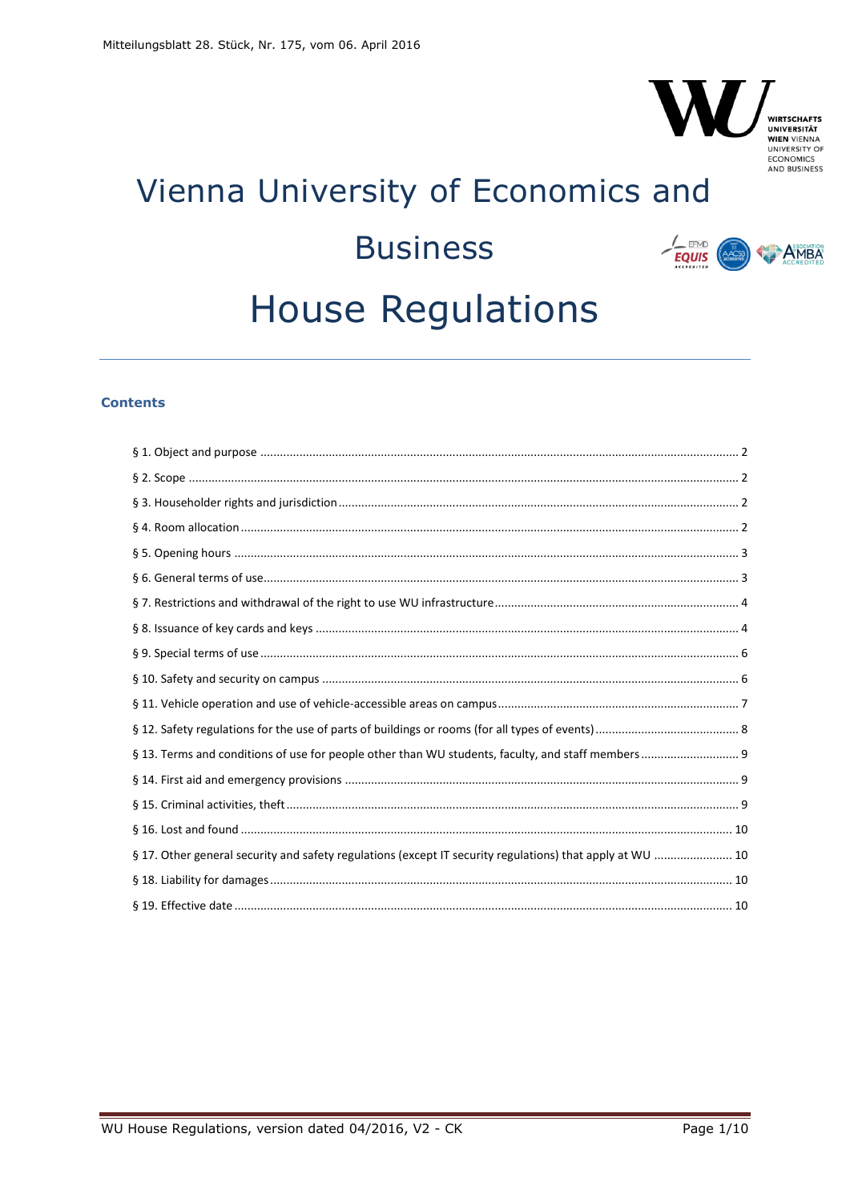# Vienna University of Economics and **Business**  $\frac{1}{EQUIS}$ **AMBA House Regulations**

## **Contents**

| § 17. Other general security and safety regulations (except IT security regulations) that apply at WU  10 |  |
|-----------------------------------------------------------------------------------------------------------|--|
|                                                                                                           |  |
|                                                                                                           |  |

V

**WIRTSCHAFTS UNIVERSITÄT** WIEN VIENNA ECONOMICS<br>AND BUSINESS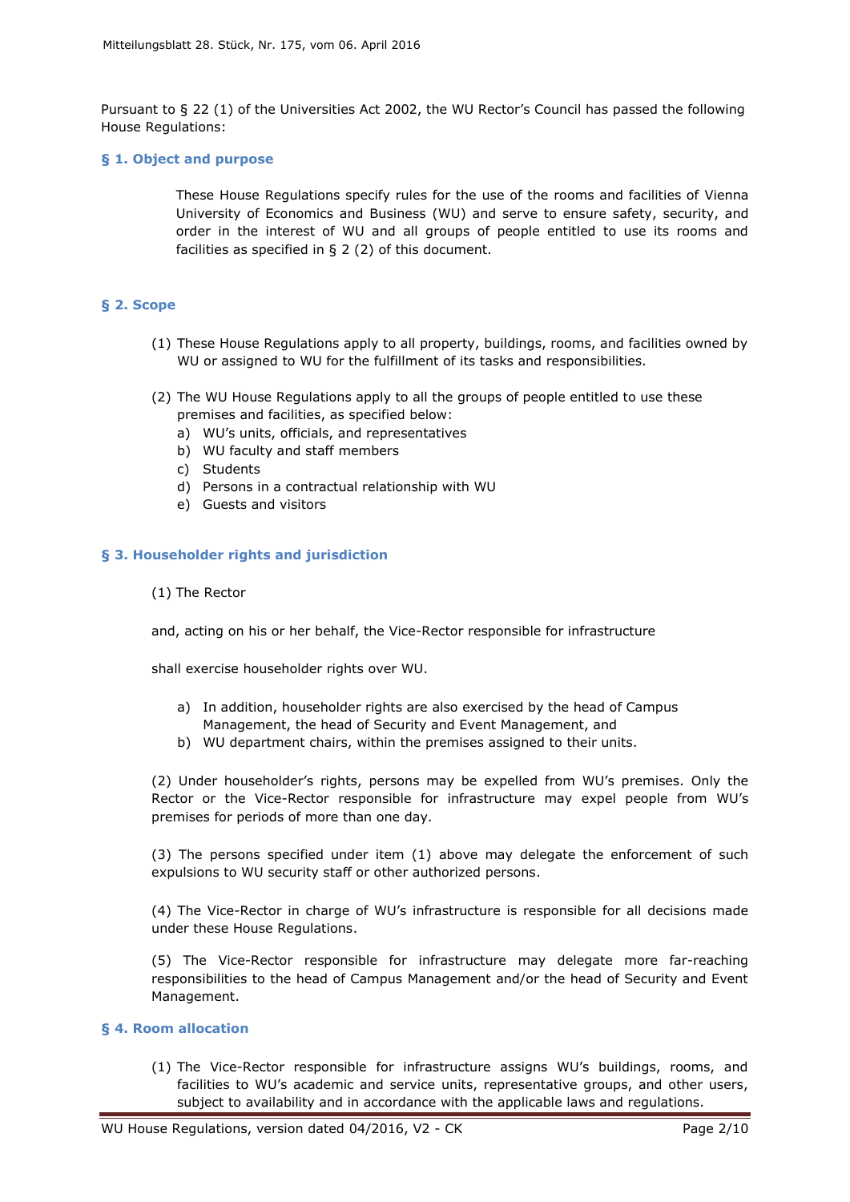Pursuant to § 22 (1) of the Universities Act 2002, the WU Rector's Council has passed the following House Regulations:

## <span id="page-1-0"></span>**§ 1. Object and purpose**

These House Regulations specify rules for the use of the rooms and facilities of Vienna University of Economics and Business (WU) and serve to ensure safety, security, and order in the interest of WU and all groups of people entitled to use its rooms and facilities as specified in § 2 (2) of this document.

## <span id="page-1-1"></span>**§ 2. Scope**

- (1) These House Regulations apply to all property, buildings, rooms, and facilities owned by WU or assigned to WU for the fulfillment of its tasks and responsibilities.
- (2) The WU House Regulations apply to all the groups of people entitled to use these premises and facilities, as specified below:
	- a) WU's units, officials, and representatives
	- b) WU faculty and staff members
	- c) Students
	- d) Persons in a contractual relationship with WU
	- e) Guests and visitors

## <span id="page-1-2"></span>**§ 3. Householder rights and jurisdiction**

(1) The Rector

and, acting on his or her behalf, the Vice-Rector responsible for infrastructure

shall exercise householder rights over WU.

- a) In addition, householder rights are also exercised by the head of Campus Management, the head of Security and Event Management, and
- b) WU department chairs, within the premises assigned to their units.

(2) Under householder's rights, persons may be expelled from WU's premises. Only the Rector or the Vice-Rector responsible for infrastructure may expel people from WU's premises for periods of more than one day.

(3) The persons specified under item (1) above may delegate the enforcement of such expulsions to WU security staff or other authorized persons.

(4) The Vice-Rector in charge of WU's infrastructure is responsible for all decisions made under these House Regulations.

(5) The Vice-Rector responsible for infrastructure may delegate more far-reaching responsibilities to the head of Campus Management and/or the head of Security and Event Management.

## <span id="page-1-3"></span>**§ 4. Room allocation**

(1) The Vice-Rector responsible for infrastructure assigns WU's buildings, rooms, and facilities to WU's academic and service units, representative groups, and other users, subject to availability and in accordance with the applicable laws and regulations.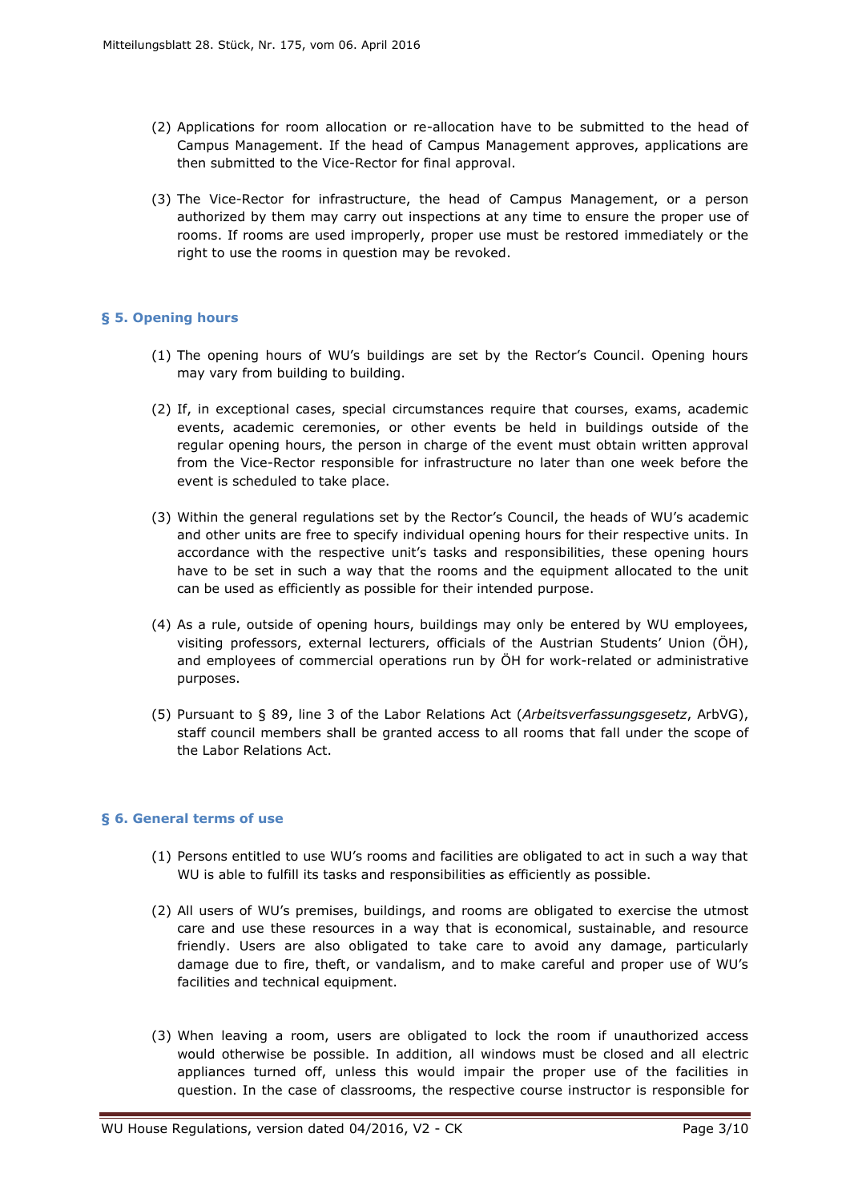- (2) Applications for room allocation or re-allocation have to be submitted to the head of Campus Management. If the head of Campus Management approves, applications are then submitted to the Vice-Rector for final approval.
- (3) The Vice-Rector for infrastructure, the head of Campus Management, or a person authorized by them may carry out inspections at any time to ensure the proper use of rooms. If rooms are used improperly, proper use must be restored immediately or the right to use the rooms in question may be revoked.

## <span id="page-2-0"></span>**§ 5. Opening hours**

- (1) The opening hours of WU's buildings are set by the Rector's Council. Opening hours may vary from building to building.
- (2) If, in exceptional cases, special circumstances require that courses, exams, academic events, academic ceremonies, or other events be held in buildings outside of the regular opening hours, the person in charge of the event must obtain written approval from the Vice-Rector responsible for infrastructure no later than one week before the event is scheduled to take place.
- (3) Within the general regulations set by the Rector's Council, the heads of WU's academic and other units are free to specify individual opening hours for their respective units. In accordance with the respective unit's tasks and responsibilities, these opening hours have to be set in such a way that the rooms and the equipment allocated to the unit can be used as efficiently as possible for their intended purpose.
- (4) As a rule, outside of opening hours, buildings may only be entered by WU employees, visiting professors, external lecturers, officials of the Austrian Students' Union (ÖH), and employees of commercial operations run by ÖH for work-related or administrative purposes.
- (5) Pursuant to § 89, line 3 of the Labor Relations Act (*Arbeitsverfassungsgesetz*, ArbVG), staff council members shall be granted access to all rooms that fall under the scope of the Labor Relations Act.

## <span id="page-2-1"></span>**§ 6. General terms of use**

- (1) Persons entitled to use WU's rooms and facilities are obligated to act in such a way that WU is able to fulfill its tasks and responsibilities as efficiently as possible.
- (2) All users of WU's premises, buildings, and rooms are obligated to exercise the utmost care and use these resources in a way that is economical, sustainable, and resource friendly. Users are also obligated to take care to avoid any damage, particularly damage due to fire, theft, or vandalism, and to make careful and proper use of WU's facilities and technical equipment.
- (3) When leaving a room, users are obligated to lock the room if unauthorized access would otherwise be possible. In addition, all windows must be closed and all electric appliances turned off, unless this would impair the proper use of the facilities in question. In the case of classrooms, the respective course instructor is responsible for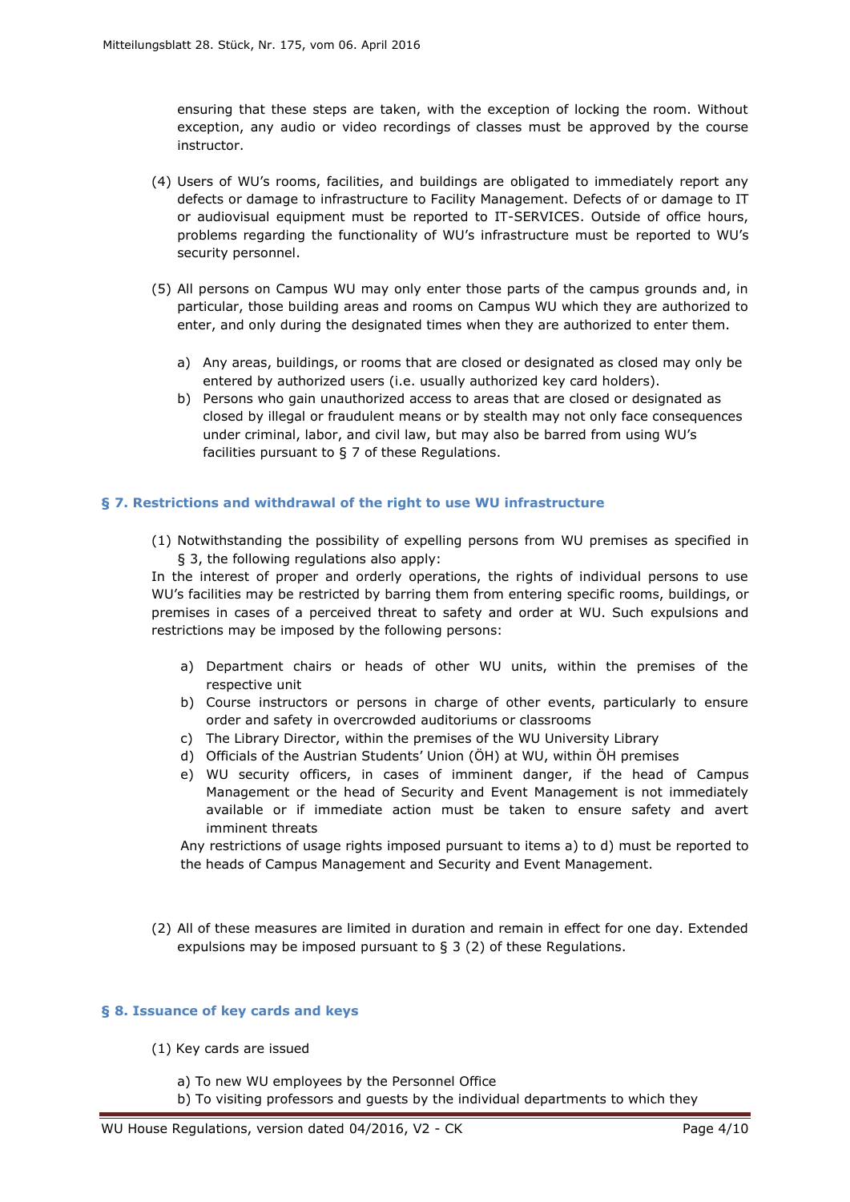ensuring that these steps are taken, with the exception of locking the room. Without exception, any audio or video recordings of classes must be approved by the course instructor.

- (4) Users of WU's rooms, facilities, and buildings are obligated to immediately report any defects or damage to infrastructure to Facility Management. Defects of or damage to IT or audiovisual equipment must be reported to IT-SERVICES. Outside of office hours, problems regarding the functionality of WU's infrastructure must be reported to WU's security personnel.
- (5) All persons on Campus WU may only enter those parts of the campus grounds and, in particular, those building areas and rooms on Campus WU which they are authorized to enter, and only during the designated times when they are authorized to enter them.
	- a) Any areas, buildings, or rooms that are closed or designated as closed may only be entered by authorized users (i.e. usually authorized key card holders).
	- b) Persons who gain unauthorized access to areas that are closed or designated as closed by illegal or fraudulent means or by stealth may not only face consequences under criminal, labor, and civil law, but may also be barred from using WU's facilities pursuant to § 7 of these Regulations.

#### <span id="page-3-0"></span>**§ 7. Restrictions and withdrawal of the right to use WU infrastructure**

(1) Notwithstanding the possibility of expelling persons from WU premises as specified in § 3, the following regulations also apply:

In the interest of proper and orderly operations, the rights of individual persons to use WU's facilities may be restricted by barring them from entering specific rooms, buildings, or premises in cases of a perceived threat to safety and order at WU. Such expulsions and restrictions may be imposed by the following persons:

- a) Department chairs or heads of other WU units, within the premises of the respective unit
- b) Course instructors or persons in charge of other events, particularly to ensure order and safety in overcrowded auditoriums or classrooms
- c) The Library Director, within the premises of the WU University Library
- d) Officials of the Austrian Students' Union (ÖH) at WU, within ÖH premises
- e) WU security officers, in cases of imminent danger, if the head of Campus Management or the head of Security and Event Management is not immediately available or if immediate action must be taken to ensure safety and avert imminent threats

Any restrictions of usage rights imposed pursuant to items a) to d) must be reported to the heads of Campus Management and Security and Event Management.

(2) All of these measures are limited in duration and remain in effect for one day. Extended expulsions may be imposed pursuant to § 3 (2) of these Regulations.

#### <span id="page-3-1"></span>**§ 8. Issuance of key cards and keys**

- (1) Key cards are issued
	- a) To new WU employees by the Personnel Office
	- b) To visiting professors and guests by the individual departments to which they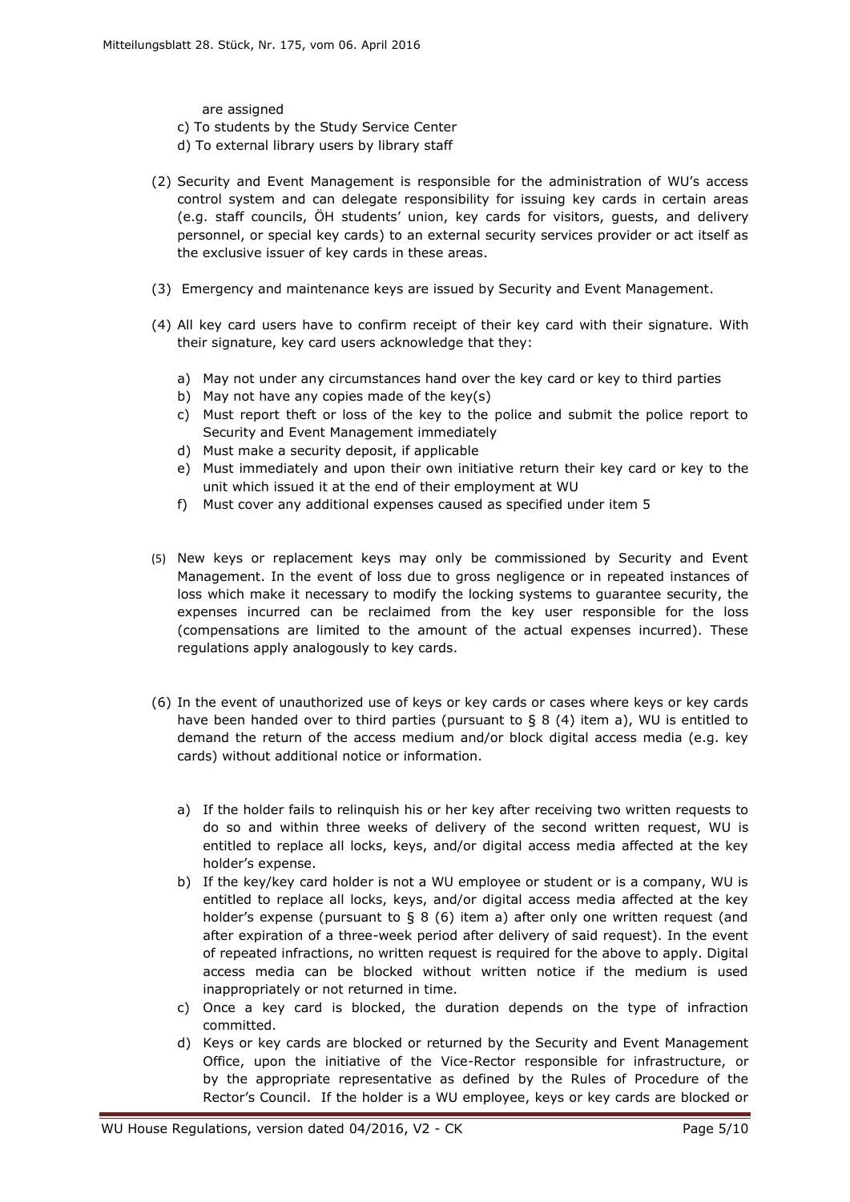are assigned

- c) To students by the Study Service Center
- d) To external library users by library staff
- (2) Security and Event Management is responsible for the administration of WU's access control system and can delegate responsibility for issuing key cards in certain areas (e.g. staff councils, ÖH students' union, key cards for visitors, guests, and delivery personnel, or special key cards) to an external security services provider or act itself as the exclusive issuer of key cards in these areas.
- (3) Emergency and maintenance keys are issued by Security and Event Management.
- (4) All key card users have to confirm receipt of their key card with their signature. With their signature, key card users acknowledge that they:
	- a) May not under any circumstances hand over the key card or key to third parties
	- b) May not have any copies made of the key(s)
	- c) Must report theft or loss of the key to the police and submit the police report to Security and Event Management immediately
	- d) Must make a security deposit, if applicable
	- e) Must immediately and upon their own initiative return their key card or key to the unit which issued it at the end of their employment at WU
	- f) Must cover any additional expenses caused as specified under item 5
- (5) New keys or replacement keys may only be commissioned by Security and Event Management. In the event of loss due to gross negligence or in repeated instances of loss which make it necessary to modify the locking systems to guarantee security, the expenses incurred can be reclaimed from the key user responsible for the loss (compensations are limited to the amount of the actual expenses incurred). These regulations apply analogously to key cards.
- (6) In the event of unauthorized use of keys or key cards or cases where keys or key cards have been handed over to third parties (pursuant to  $\S 8 (4)$  item a), WU is entitled to demand the return of the access medium and/or block digital access media (e.g. key cards) without additional notice or information.
	- a) If the holder fails to relinquish his or her key after receiving two written requests to do so and within three weeks of delivery of the second written request, WU is entitled to replace all locks, keys, and/or digital access media affected at the key holder's expense.
	- b) If the key/key card holder is not a WU employee or student or is a company, WU is entitled to replace all locks, keys, and/or digital access media affected at the key holder's expense (pursuant to  $\S$  8 (6) item a) after only one written request (and after expiration of a three-week period after delivery of said request). In the event of repeated infractions, no written request is required for the above to apply. Digital access media can be blocked without written notice if the medium is used inappropriately or not returned in time.
	- c) Once a key card is blocked, the duration depends on the type of infraction committed.
	- d) Keys or key cards are blocked or returned by the Security and Event Management Office, upon the initiative of the Vice-Rector responsible for infrastructure, or by the appropriate representative as defined by the Rules of Procedure of the Rector's Council. If the holder is a WU employee, keys or key cards are blocked or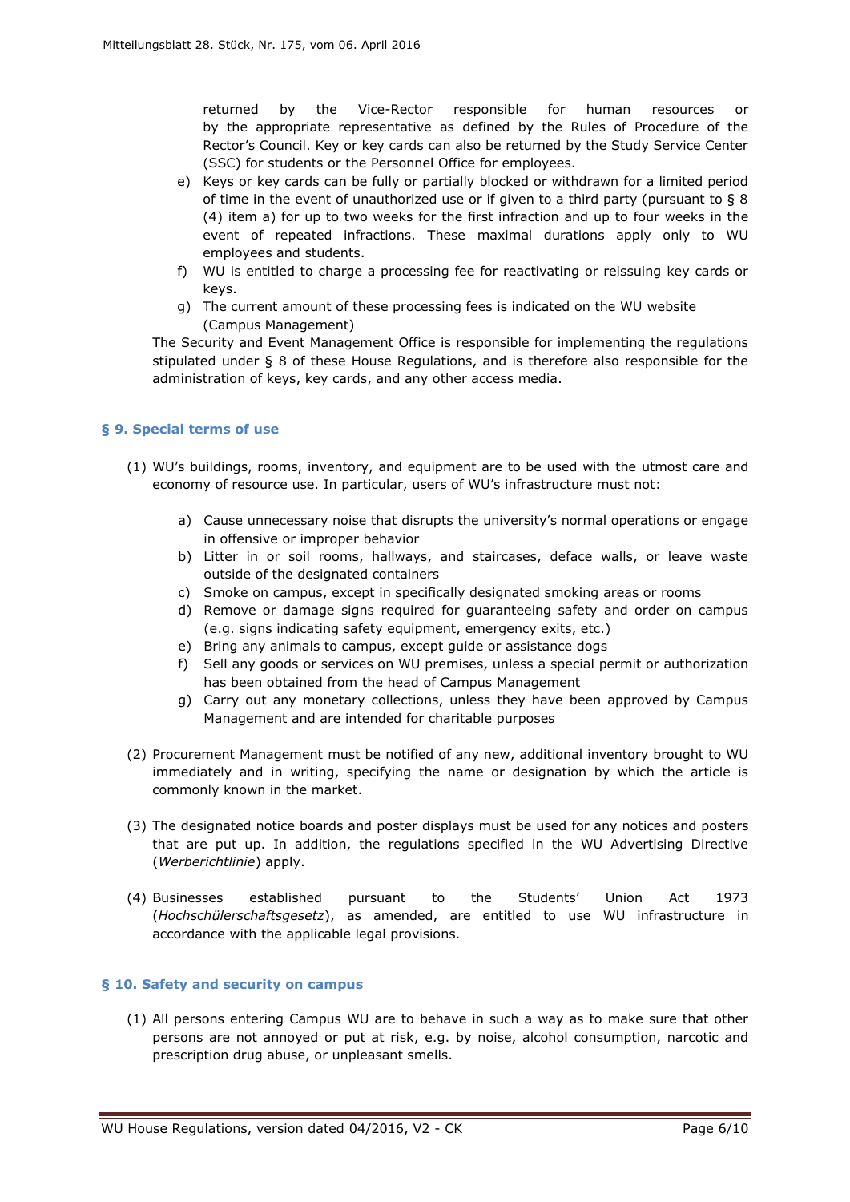returned by the Vice-Rector responsible for human resources or by the appropriate representative as defined by the Rules of Procedure of the Rector's Council. Key or key cards can also be returned by the Study Service Center (SSC) for students or the Personnel Office for employees.

- e) Keys or key cards can be fully or partially blocked or withdrawn for a limited period of time in the event of unauthorized use or if given to a third party (pursuant to § 8 (4) item a) for up to two weeks for the first infraction and up to four weeks in the event of repeated infractions. These maximal durations apply only to WU employees and students.
- f) WU is entitled to charge a processing fee for reactivating or reissuing key cards or keys.
- g) The current amount of these processing fees is indicated on the WU website (Campus Management)

The Security and Event Management Office is responsible for implementing the regulations stipulated under § 8 of these House Regulations, and is therefore also responsible for the administration of keys, key cards, and any other access media.

## <span id="page-5-0"></span>**§ 9. Special terms of use**

- (1) WU's buildings, rooms, inventory, and equipment are to be used with the utmost care and economy of resource use. In particular, users of WU's infrastructure must not:
	- a) Cause unnecessary noise that disrupts the university's normal operations or engage in offensive or improper behavior
	- b) Litter in or soil rooms, hallways, and staircases, deface walls, or leave waste outside of the designated containers
	- c) Smoke on campus, except in specifically designated smoking areas or rooms
	- d) Remove or damage signs required for guaranteeing safety and order on campus (e.g. signs indicating safety equipment, emergency exits, etc.)
	- e) Bring any animals to campus, except guide or assistance dogs
	- f) Sell any goods or services on WU premises, unless a special permit or authorization has been obtained from the head of Campus Management
	- g) Carry out any monetary collections, unless they have been approved by Campus Management and are intended for charitable purposes
- (2) Procurement Management must be notified of any new, additional inventory brought to WU immediately and in writing, specifying the name or designation by which the article is commonly known in the market.
- (3) The designated notice boards and poster displays must be used for any notices and posters that are put up. In addition, the regulations specified in the WU Advertising Directive (*Werberichtlinie*) apply.
- (4) Businesses established pursuant to the Students' Union Act 1973 (*Hochschülerschaftsgesetz*), as amended, are entitled to use WU infrastructure in accordance with the applicable legal provisions.

## <span id="page-5-1"></span>**§ 10. Safety and security on campus**

(1) All persons entering Campus WU are to behave in such a way as to make sure that other persons are not annoyed or put at risk, e.g. by noise, alcohol consumption, narcotic and prescription drug abuse, or unpleasant smells.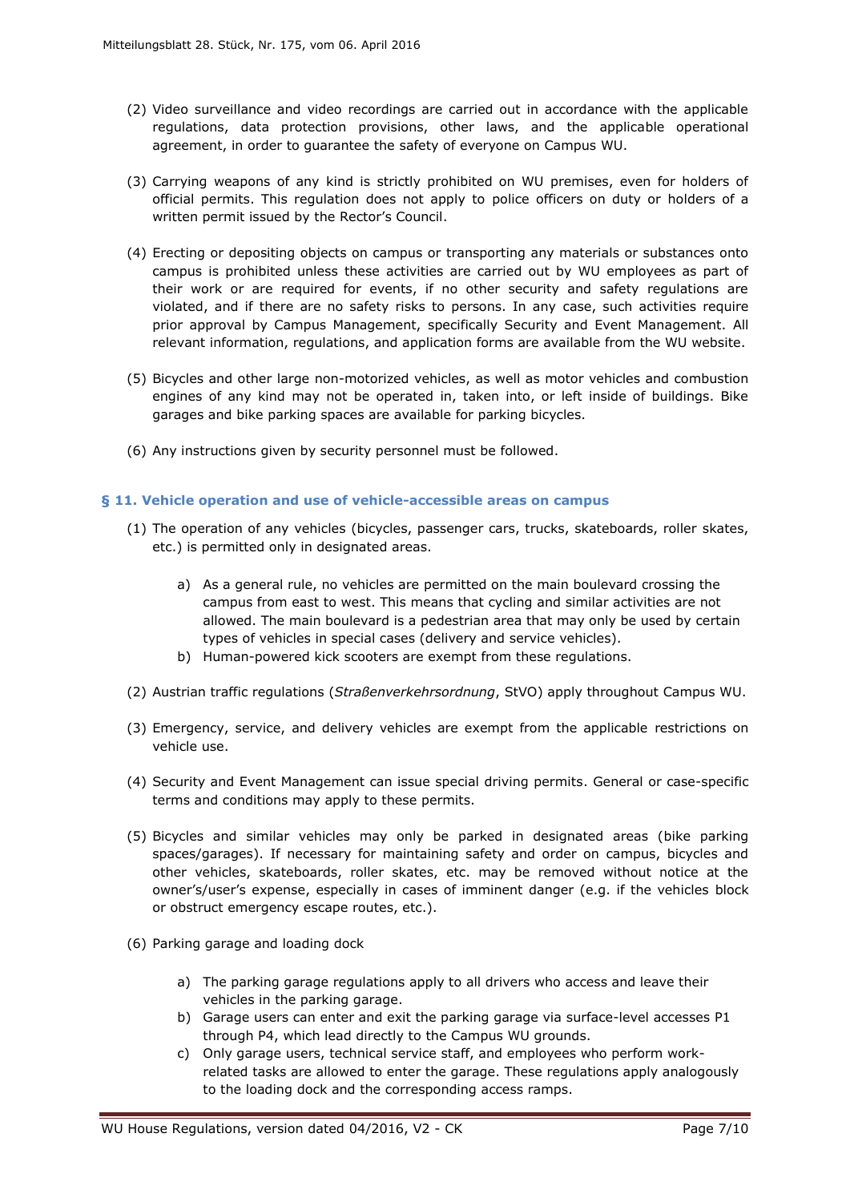- (2) Video surveillance and video recordings are carried out in accordance with the applicable regulations, data protection provisions, other laws, and the applicable operational agreement, in order to guarantee the safety of everyone on Campus WU.
- (3) Carrying weapons of any kind is strictly prohibited on WU premises, even for holders of official permits. This regulation does not apply to police officers on duty or holders of a written permit issued by the Rector's Council.
- (4) Erecting or depositing objects on campus or transporting any materials or substances onto campus is prohibited unless these activities are carried out by WU employees as part of their work or are required for events, if no other security and safety regulations are violated, and if there are no safety risks to persons. In any case, such activities require prior approval by Campus Management, specifically Security and Event Management. All relevant information, regulations, and application forms are available from the WU website.
- (5) Bicycles and other large non-motorized vehicles, as well as motor vehicles and combustion engines of any kind may not be operated in, taken into, or left inside of buildings. Bike garages and bike parking spaces are available for parking bicycles.
- (6) Any instructions given by security personnel must be followed.

## <span id="page-6-0"></span>**§ 11. Vehicle operation and use of vehicle-accessible areas on campus**

- (1) The operation of any vehicles (bicycles, passenger cars, trucks, skateboards, roller skates, etc.) is permitted only in designated areas.
	- a) As a general rule, no vehicles are permitted on the main boulevard crossing the campus from east to west. This means that cycling and similar activities are not allowed. The main boulevard is a pedestrian area that may only be used by certain types of vehicles in special cases (delivery and service vehicles).
	- b) Human-powered kick scooters are exempt from these regulations.
- (2) Austrian traffic regulations (*Straßenverkehrsordnung*, StVO) apply throughout Campus WU.
- (3) Emergency, service, and delivery vehicles are exempt from the applicable restrictions on vehicle use.
- (4) Security and Event Management can issue special driving permits. General or case-specific terms and conditions may apply to these permits.
- (5) Bicycles and similar vehicles may only be parked in designated areas (bike parking spaces/garages). If necessary for maintaining safety and order on campus, bicycles and other vehicles, skateboards, roller skates, etc. may be removed without notice at the owner's/user's expense, especially in cases of imminent danger (e.g. if the vehicles block or obstruct emergency escape routes, etc.).
- (6) Parking garage and loading dock
	- a) The parking garage regulations apply to all drivers who access and leave their vehicles in the parking garage.
	- b) Garage users can enter and exit the parking garage via surface-level accesses P1 through P4, which lead directly to the Campus WU grounds.
	- c) Only garage users, technical service staff, and employees who perform workrelated tasks are allowed to enter the garage. These regulations apply analogously to the loading dock and the corresponding access ramps.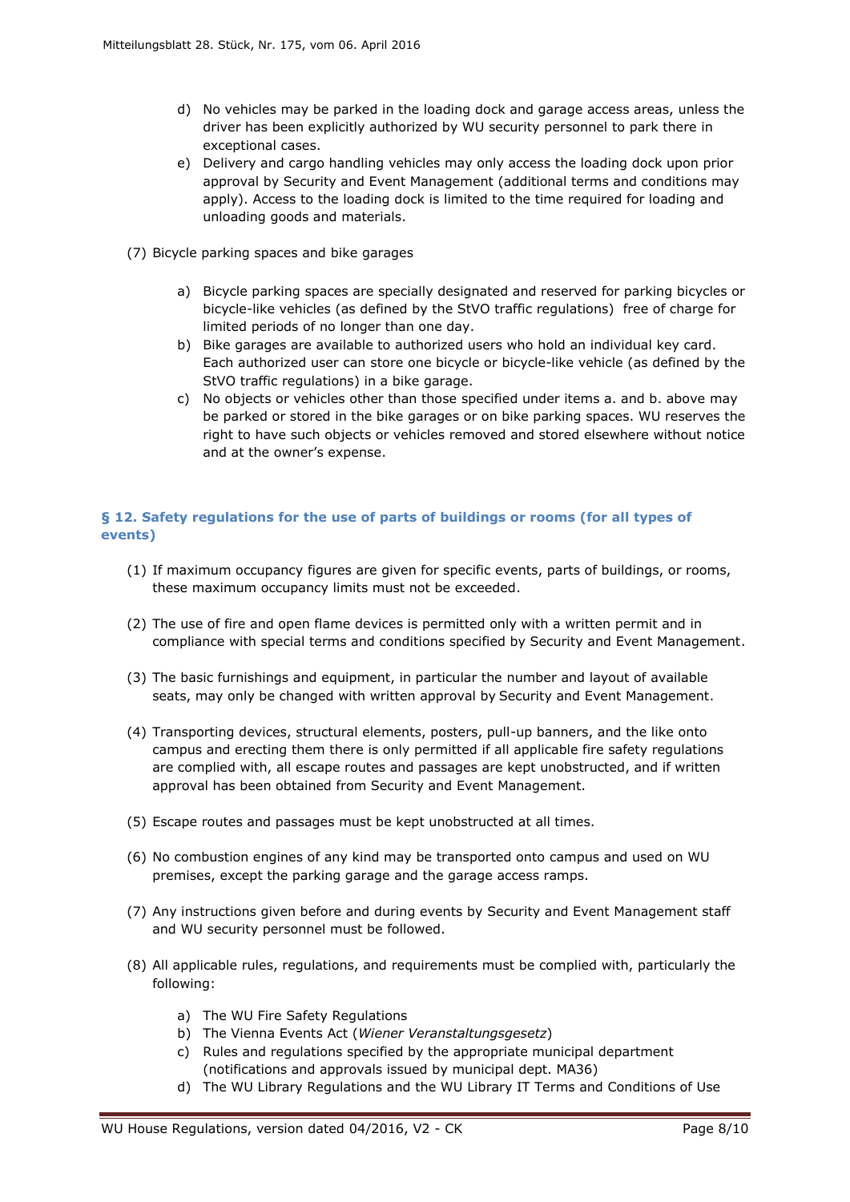- d) No vehicles may be parked in the loading dock and garage access areas, unless the driver has been explicitly authorized by WU security personnel to park there in exceptional cases.
- e) Delivery and cargo handling vehicles may only access the loading dock upon prior approval by Security and Event Management (additional terms and conditions may apply). Access to the loading dock is limited to the time required for loading and unloading goods and materials.
- (7) Bicycle parking spaces and bike garages
	- a) Bicycle parking spaces are specially designated and reserved for parking bicycles or bicycle-like vehicles (as defined by the StVO traffic regulations) free of charge for limited periods of no longer than one day.
	- b) Bike garages are available to authorized users who hold an individual key card. Each authorized user can store one bicycle or bicycle-like vehicle (as defined by the StVO traffic regulations) in a bike garage.
	- c) No objects or vehicles other than those specified under items a. and b. above may be parked or stored in the bike garages or on bike parking spaces. WU reserves the right to have such objects or vehicles removed and stored elsewhere without notice and at the owner's expense.

# <span id="page-7-0"></span>**§ 12. Safety regulations for the use of parts of buildings or rooms (for all types of events)**

- (1) If maximum occupancy figures are given for specific events, parts of buildings, or rooms, these maximum occupancy limits must not be exceeded.
- (2) The use of fire and open flame devices is permitted only with a written permit and in compliance with special terms and conditions specified by Security and Event Management.
- (3) The basic furnishings and equipment, in particular the number and layout of available seats, may only be changed with written approval by Security and Event Management.
- (4) Transporting devices, structural elements, posters, pull-up banners, and the like onto campus and erecting them there is only permitted if all applicable fire safety regulations are complied with, all escape routes and passages are kept unobstructed, and if written approval has been obtained from Security and Event Management.
- (5) Escape routes and passages must be kept unobstructed at all times.
- (6) No combustion engines of any kind may be transported onto campus and used on WU premises, except the parking garage and the garage access ramps.
- (7) Any instructions given before and during events by Security and Event Management staff and WU security personnel must be followed.
- (8) All applicable rules, regulations, and requirements must be complied with, particularly the following:
	- a) The WU Fire Safety Regulations
	- b) The Vienna Events Act (*Wiener Veranstaltungsgesetz*)
	- c) Rules and regulations specified by the appropriate municipal department (notifications and approvals issued by municipal dept. MA36)
	- d) The WU Library Regulations and the WU Library IT Terms and Conditions of Use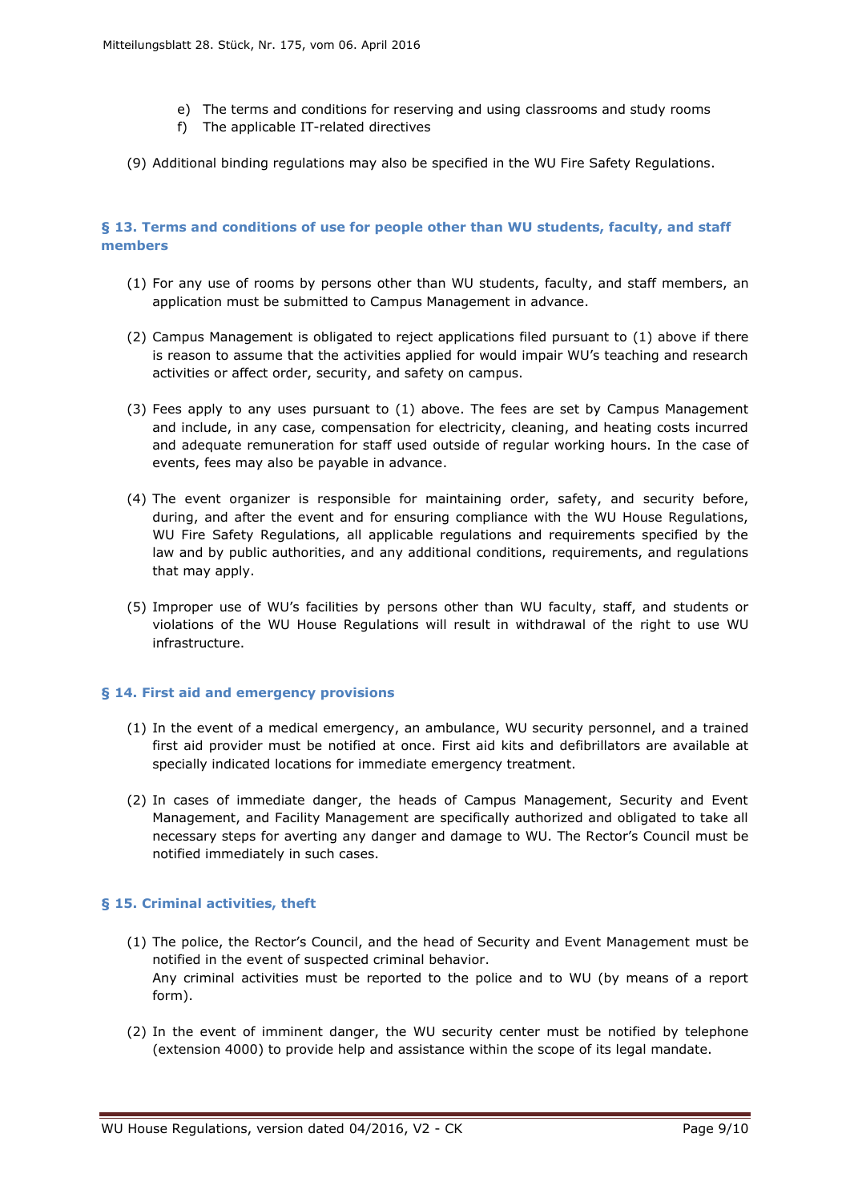- e) The terms and conditions for reserving and using classrooms and study rooms
- f) The applicable IT-related directives
- (9) Additional binding regulations may also be specified in the WU Fire Safety Regulations.

## <span id="page-8-0"></span>**§ 13. Terms and conditions of use for people other than WU students, faculty, and staff members**

- (1) For any use of rooms by persons other than WU students, faculty, and staff members, an application must be submitted to Campus Management in advance.
- (2) Campus Management is obligated to reject applications filed pursuant to (1) above if there is reason to assume that the activities applied for would impair WU's teaching and research activities or affect order, security, and safety on campus.
- (3) Fees apply to any uses pursuant to (1) above. The fees are set by Campus Management and include, in any case, compensation for electricity, cleaning, and heating costs incurred and adequate remuneration for staff used outside of regular working hours. In the case of events, fees may also be payable in advance.
- (4) The event organizer is responsible for maintaining order, safety, and security before, during, and after the event and for ensuring compliance with the WU House Regulations, WU Fire Safety Regulations, all applicable regulations and requirements specified by the law and by public authorities, and any additional conditions, requirements, and regulations that may apply.
- (5) Improper use of WU's facilities by persons other than WU faculty, staff, and students or violations of the WU House Regulations will result in withdrawal of the right to use WU infrastructure.

## <span id="page-8-1"></span>**§ 14. First aid and emergency provisions**

- (1) In the event of a medical emergency, an ambulance, WU security personnel, and a trained first aid provider must be notified at once. First aid kits and defibrillators are available at specially indicated locations for immediate emergency treatment.
- (2) In cases of immediate danger, the heads of Campus Management, Security and Event Management, and Facility Management are specifically authorized and obligated to take all necessary steps for averting any danger and damage to WU. The Rector's Council must be notified immediately in such cases.

# <span id="page-8-2"></span>**§ 15. Criminal activities, theft**

- (1) The police, the Rector's Council, and the head of Security and Event Management must be notified in the event of suspected criminal behavior. Any criminal activities must be reported to the police and to WU (by means of a report form).
- (2) In the event of imminent danger, the WU security center must be notified by telephone (extension 4000) to provide help and assistance within the scope of its legal mandate.